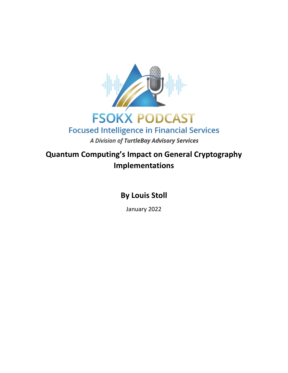

# **FSOKX PODCAST**

# **Focused Intelligence in Financial Services**

A Division of TurtleBay Advisory Services

# **Quantum Computing's Impact on General Cryptography Implementations**

**By Louis Stoll**

January 2022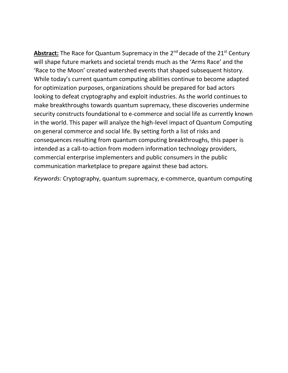Abstract: The Race for Quantum Supremacy in the 2<sup>nd</sup> decade of the 21<sup>st</sup> Century will shape future markets and societal trends much as the 'Arms Race' and the 'Race to the Moon' created watershed events that shaped subsequent history. While today's current quantum computing abilities continue to become adapted for optimization purposes, organizations should be prepared for bad actors looking to defeat cryptography and exploit industries. As the world continues to make breakthroughs towards quantum supremacy, these discoveries undermine security constructs foundational to e-commerce and social life as currently known in the world. This paper will analyze the high-level impact of Quantum Computing on general commerce and social life. By setting forth a list of risks and consequences resulting from quantum computing breakthroughs, this paper is intended as a call-to-action from modern information technology providers, commercial enterprise implementers and public consumers in the public communication marketplace to prepare against these bad actors.

*Keywords:* Cryptography, quantum supremacy, e-commerce, quantum computing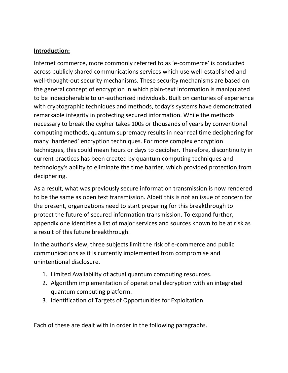#### **Introduction:**

Internet commerce, more commonly referred to as 'e-commerce' is conducted across publicly shared communications services which use well-established and well-thought-out security mechanisms. These security mechanisms are based on the general concept of encryption in which plain-text information is manipulated to be indecipherable to un-authorized individuals. Built on centuries of experience with cryptographic techniques and methods, today's systems have demonstrated remarkable integrity in protecting secured information. While the methods necessary to break the cypher takes 100s or thousands of years by conventional computing methods, quantum supremacy results in near real time deciphering for many 'hardened' encryption techniques. For more complex encryption techniques, this could mean hours or days to decipher. Therefore, discontinuity in current practices has been created by quantum computing techniques and technology's ability to eliminate the time barrier, which provided protection from deciphering.

As a result, what was previously secure information transmission is now rendered to be the same as open text transmission. Albeit this is not an issue of concern for the present, organizations need to start preparing for this breakthrough to protect the future of secured information transmission. To expand further, appendix one identifies a list of major services and sources known to be at risk as a result of this future breakthrough.

In the author's view, three subjects limit the risk of e-commerce and public communications as it is currently implemented from compromise and unintentional disclosure.

- 1. Limited Availability of actual quantum computing resources.
- 2. Algorithm implementation of operational decryption with an integrated quantum computing platform.
- 3. Identification of Targets of Opportunities for Exploitation.

Each of these are dealt with in order in the following paragraphs.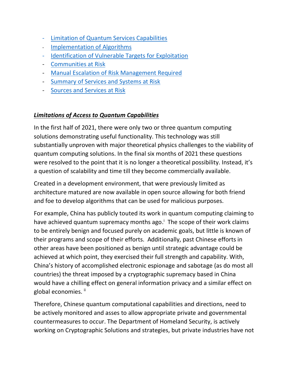- [Limitation of Quantum Services Capabilities](#page-3-0)
- [Implementation of Algorithms](#page-4-0)
- [Identification of Vulnerable Targets for Exploitation](#page-5-0)
- Communities at Risk
- Manual Escalation of Risk Management Required
- Summary of Services and Systems at Risk
- [Sources and Services at Risk](#page-9-0)

#### <span id="page-3-0"></span>*Limitations of Access to Quantum Capabilities*

In the first half of 2021, there were only two or three quantum computing solutions demonstrating useful functionality. This technology was still substantially unproven with major theoretical physics challenges to the viability of quantum computing solutions. In the final six months of 2021 these questions were resolved to the point that it is no longer a theoretical possibility. Instead, it's a question of scalability and time till they become commercially available.

Created in a development environment, that were previously limited as architecture matured are now available in open source allowing for both friend and foe to develop algorithms that can be used for malicious purposes.

For example, China has publicly touted its work in quantum computing claiming to have achieved quantum supremacy months ago.<sup>i</sup> The scope of their work claims to be entirely benign and focused purely on academic goals, but little is known of their programs and scope of their efforts. Additionally, past Chinese efforts in other areas have been positioned as benign until strategic advantage could be achieved at which point, they exercised their full strength and capability. With, China's history of accomplished electronic espionage and sabotage (as do most all countries) the threat imposed by a cryptographic supremacy based in China would have a chilling effect on general information privacy and a similar effect on global economies. ii

Therefore, Chinese quantum computational capabilities and directions, need to be actively monitored and asses to allow appropriate private and governmental countermeasures to occur. The Department of Homeland Security, is actively working on Cryptographic Solutions and strategies, but private industries have not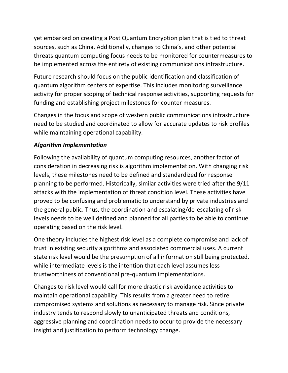yet embarked on creating a Post Quantum Encryption plan that is tied to threat sources, such as China. Additionally, changes to China's, and other potential threats quantum computing focus needs to be monitored for countermeasures to be implemented across the entirety of existing communications infrastructure.

Future research should focus on the public identification and classification of quantum algorithm centers of expertise. This includes monitoring surveillance activity for proper scoping of technical response activities, supporting requests for funding and establishing project milestones for counter measures.

Changes in the focus and scope of western public communications infrastructure need to be studied and coordinated to allow for accurate updates to risk profiles while maintaining operational capability.

#### <span id="page-4-0"></span>*Algorithm Implementation*

Following the availability of quantum computing resources, another factor of consideration in decreasing risk is algorithm implementation. With changing risk levels, these milestones need to be defined and standardized for response planning to be performed. Historically, similar activities were tried after the 9/11 attacks with the implementation of threat condition level. These activities have proved to be confusing and problematic to understand by private industries and the general public. Thus, the coordination and escalating/de-escalating of risk levels needs to be well defined and planned for all parties to be able to continue operating based on the risk level.

One theory includes the highest risk level as a complete compromise and lack of trust in existing security algorithms and associated commercial uses. A current state risk level would be the presumption of all information still being protected, while intermediate levels is the intention that each level assumes less trustworthiness of conventional pre-quantum implementations.

Changes to risk level would call for more drastic risk avoidance activities to maintain operational capability. This results from a greater need to retire compromised systems and solutions as necessary to manage risk. Since private industry tends to respond slowly to unanticipated threats and conditions, aggressive planning and coordination needs to occur to provide the necessary insight and justification to perform technology change.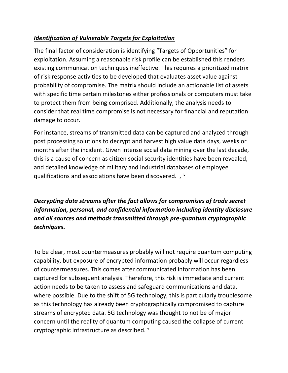### <span id="page-5-0"></span>*Identification of Vulnerable Targets for Exploitation*

The final factor of consideration is identifying "Targets of Opportunities" for exploitation. Assuming a reasonable risk profile can be established this renders existing communication techniques ineffective. This requires a prioritized matrix of risk response activities to be developed that evaluates asset value against probability of compromise. The matrix should include an actionable list of assets with specific time certain milestones either professionals or computers must take to protect them from being comprised. Additionally, the analysis needs to consider that real time compromise is not necessary for financial and reputation damage to occur.

For instance, streams of transmitted data can be captured and analyzed through post processing solutions to decrypt and harvest high value data days, weeks or months after the incident. Given intense social data mining over the last decade, this is a cause of concern as citizen social security identities have been revealed, and detailed knowledge of military and industrial databases of employee qualifications and associations have been discovered.<sup>iii</sup>, <sup>iv</sup>

*Decrypting data streams after the fact allows for compromises of trade secret information, personal, and confidential information including identity disclosure and all sources and methods transmitted through pre-quantum cryptographic techniques.* 

To be clear, most countermeasures probably will not require quantum computing capability, but exposure of encrypted information probably will occur regardless of countermeasures. This comes after communicated information has been captured for subsequent analysis. Therefore, this risk is immediate and current action needs to be taken to assess and safeguard communications and data, where possible. Due to the shift of 5G technology, this is particularly troublesome as this technology has already been cryptographically compromised to capture streams of encrypted data. 5G technology was thought to not be of major concern until the reality of quantum computing caused the collapse of current cryptographic infrastructure as described. v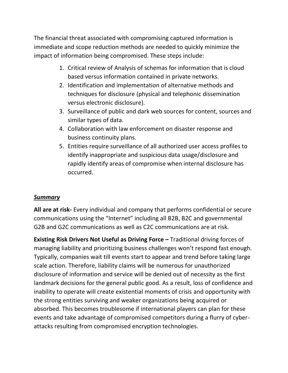The financial threat associated with compromising captured information is immediate and scope reduction methods are needed to quickly minimize the impact of information being compromised. These steps include:

- 1. Critical review of Analysis of schemas for information that is cloud based versus information contained in private networks.
- 2. Identification and implementation of alternative methods and techniques for disclosure (physical and telephonic dissemination versus electronic disclosure).
- 3. Surveillance of public and dark web sources for content, sources and similar types of data.
- 4. Collaboration with law enforcement on disaster response and business continuity plans.
- 5. Entities require surveillance of all authorized user access profiles to identify inappropriate and suspicious data usage/disclosure and rapidly identify areas of compromise when internal disclosure has occurred.

#### *Summary*

**All are at risk-** Every individual and company that performs confidential or secure communications using the "Internet" including all B2B, B2C and governmental G2B and G2C communications as well as C2C communications are at risk.

**Existing Risk Drivers Not Useful as Driving Force –** Traditional driving forces of managing liability and prioritizing business challenges won't respond fast enough. Typically, companies wait till events start to appear and trend before taking large scale action. Therefore, liability claims will be numerous for unauthorized disclosure of information and service will be denied out of necessity as the first landmark decisions for the general public good. As a result, loss of confidence and inability to operate will create existential moments of crisis and opportunity with the strong entities surviving and weaker organizations being acquired or absorbed. This becomes troublesome if international players can plan for these events and take advantage of compromised competitors during a flurry of cyberattacks resulting from compromised encryption technologies.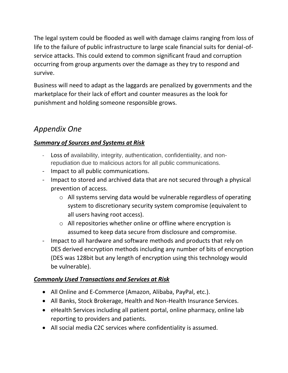The legal system could be flooded as well with damage claims ranging from loss of life to the failure of public infrastructure to large scale financial suits for denial-ofservice attacks. This could extend to common significant fraud and corruption occurring from group arguments over the damage as they try to respond and survive.

Business will need to adapt as the laggards are penalized by governments and the marketplace for their lack of effort and counter measures as the look for punishment and holding someone responsible grows.

# *Appendix One*

## *Summary of Sources and Systems at Risk*

- Loss of availability, integrity, authentication, confidentiality, and nonrepudiation due to malicious actors for all public communications.
- Impact to all public communications.
- Impact to stored and archived data that are not secured through a physical prevention of access.
	- o All systems serving data would be vulnerable regardless of operating system to discretionary security system compromise (equivalent to all users having root access).
	- o All repositories whether online or offline where encryption is assumed to keep data secure from disclosure and compromise.
- Impact to all hardware and software methods and products that rely on DES derived encryption methods including any number of bits of encryption (DES was 128bit but any length of encryption using this technology would be vulnerable).

## *Commonly Used Transactions and Services at Risk*

- All Online and E-Commerce (Amazon, Alibaba, PayPal, etc.).
- All Banks, Stock Brokerage, Health and Non-Health Insurance Services.
- eHealth Services including all patient portal, online pharmacy, online lab reporting to providers and patients.
- All social media C2C services where confidentiality is assumed.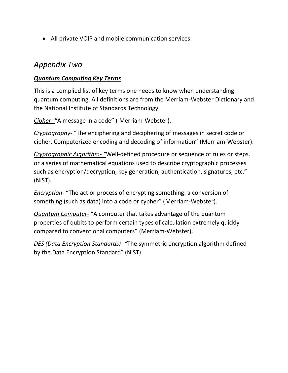• All private VOIP and mobile communication services.

## *Appendix Two*

#### *Quantum Computing Key Terms*

This is a complied list of key terms one needs to know when understanding quantum computing. All definitions are from the Merriam-Webster Dictionary and the National Institute of Standards Technology.

*Cipher-* "A message in a code" ( Merriam-Webster).

*Cryptography*- "The enciphering and deciphering of messages in secret code or cipher. Computerized encoding and decoding of information" (Merriam-Webster).

*Cryptographic Algorithm- "*Well-defined procedure or sequence of rules or steps, or a series of mathematical equations used to describe cryptographic processes such as encryption/decryption, key generation, authentication, signatures, etc." (NIST).

*Encryption-* "The act or process of encrypting something: a conversion of something (such as data) into a code or cypher" (Merriam-Webster).

*Quantum Computer-* "A computer that takes advantage of the quantum properties of qubits to perform certain types of calculation extremely quickly compared to conventional computers" (Merriam-Webster).

*DES (Data Encryption Standards)- "*The symmetric encryption algorithm defined by the Data Encryption Standard" (NIST).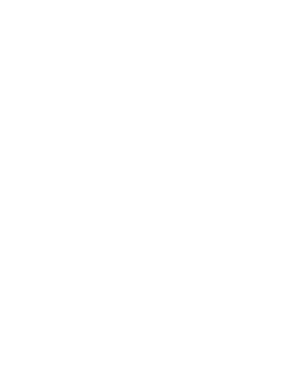<span id="page-9-0"></span>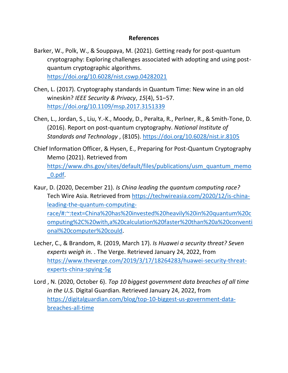#### **References**

- Barker, W., Polk, W., & Souppaya, M. (2021). Getting ready for post-quantum cryptography: Exploring challenges associated with adopting and using postquantum cryptographic algorithms. <https://doi.org/10.6028/nist.cswp.04282021>
- Chen, L. (2017). Cryptography standards in Quantum Time: New wine in an old wineskin? *IEEE Security & Privacy*, *15*(4), 51–57. <https://doi.org/10.1109/msp.2017.3151339>
- Chen, L., Jordan, S., Liu, Y.-K., Moody, D., Peralta, R., Perlner, R., & Smith-Tone, D. (2016). Report on post-quantum cryptography. *National Institute of Standards and Technology* , (8105).<https://doi.org/10.6028/nist.ir.8105>
- Chief Information Officer, & Hysen, E., Preparing for Post-Quantum Cryptography Memo (2021). Retrieved from [https://www.dhs.gov/sites/default/files/publications/usm\\_quantum\\_memo](https://www.dhs.gov/sites/default/files/publications/usm_quantum_memo_0.pdf) [\\_0.pdf.](https://www.dhs.gov/sites/default/files/publications/usm_quantum_memo_0.pdf)

Kaur, D. (2020, December 21). *Is China leading the quantum computing race?* Tech Wire Asia. Retrieved from [https://techwireasia.com/2020/12/is-china](https://techwireasia.com/2020/12/is-china-leading-the-quantum-computing-race/#:~:text=China%20has%20invested%20heavily%20in%20quantum%20computing%2C%20with,a%20calculation%20faster%20than%20a%20conventional%20computer%20could)[leading-the-quantum-computing](https://techwireasia.com/2020/12/is-china-leading-the-quantum-computing-race/#:~:text=China%20has%20invested%20heavily%20in%20quantum%20computing%2C%20with,a%20calculation%20faster%20than%20a%20conventional%20computer%20could)[race/#:~:text=China%20has%20invested%20heavily%20in%20quantum%20c](https://techwireasia.com/2020/12/is-china-leading-the-quantum-computing-race/#:~:text=China%20has%20invested%20heavily%20in%20quantum%20computing%2C%20with,a%20calculation%20faster%20than%20a%20conventional%20computer%20could) [omputing%2C%20with,a%20calculation%20faster%20than%20a%20conventi](https://techwireasia.com/2020/12/is-china-leading-the-quantum-computing-race/#:~:text=China%20has%20invested%20heavily%20in%20quantum%20computing%2C%20with,a%20calculation%20faster%20than%20a%20conventional%20computer%20could) [onal%20computer%20could.](https://techwireasia.com/2020/12/is-china-leading-the-quantum-computing-race/#:~:text=China%20has%20invested%20heavily%20in%20quantum%20computing%2C%20with,a%20calculation%20faster%20than%20a%20conventional%20computer%20could)

- Lecher, C., & Brandom, R. (2019, March 17). *Is Huawei a security threat? Seven experts weigh in.* . The Verge. Retrieved January 24, 2022, from [https://www.theverge.com/2019/3/17/18264283/huawei-security-threat](https://www.theverge.com/2019/3/17/18264283/huawei-security-threat-experts-china-spying-5g)[experts-china-spying-5g](https://www.theverge.com/2019/3/17/18264283/huawei-security-threat-experts-china-spying-5g)
- Lord , N. (2020, October 6). *Top 10 biggest government data breaches of all time in the U.S.* Digital Guardian. Retrieved January 24, 2022, from [https://digitalguardian.com/blog/top-10-biggest-us-government-data](https://digitalguardian.com/blog/top-10-biggest-us-government-data-breaches-all-time)[breaches-all-time](https://digitalguardian.com/blog/top-10-biggest-us-government-data-breaches-all-time)